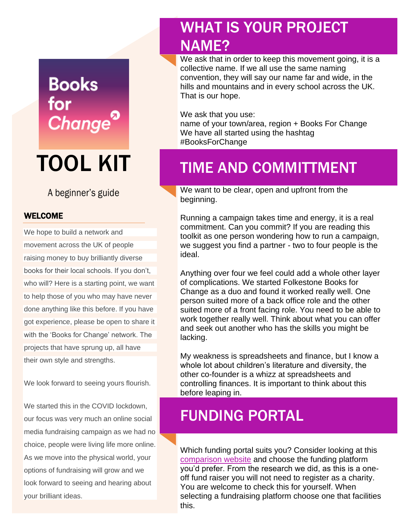# **Books** for **Change**

# TOOL KIT

#### A beginner's guide

#### WELCOME

We hope to build a network and movement across the UK of people raising money to buy brilliantly diverse books for their local schools. If you don't, who will? Here is a starting point, we want to help those of you who may have never done anything like this before. If you have got experience, please be open to share it with the 'Books for Change' network. The projects that have sprung up, all have their own style and strengths.

We look forward to seeing yours flourish.

We started this in the COVID lockdown, our focus was very much an online social media fundraising campaign as we had no choice, people were living life more online. As we move into the physical world, your options of fundraising will grow and we look forward to seeing and hearing about your brilliant ideas.

### WHAT IS YOUR PROJECT NAME?

We ask that in order to keep this movement going, it is a collective name. If we all use the same naming convention, they will say our name far and wide, in the hills and mountains and in every school across the UK. That is our hope.

We ask that you use: name of your town/area, region + Books For Change

We have all started using the hashtag #BooksForChange

### TIME AND COMMITTMENT

We want to be clear, open and upfront from the beginning.

Running a campaign takes time and energy, it is a real commitment. Can you commit? If you are reading this toolkit as one person wondering how to run a campaign, we suggest you find a partner - two to four people is the ideal.

Anything over four we feel could add a whole other layer of complications. We started Folkestone Books for Change as a duo and found it worked really well. One person suited more of a back office role and the other suited more of a front facing role. You need to be able to work together really well. Think about what you can offer and seek out another who has the skills you might be lacking.

My weakness is spreadsheets and finance, but I know a whole lot about children's literature and diversity, the other co-founder is a whizz at spreadsheets and controlling finances. It is important to think about this before leaping in.

#### FUNDING PORTAL

Which funding portal suits you? Consider looking at this [comparison website](https://whitefuse.com/blog/charity-fundraising-donation-websites?fbclid=IwAR2SL4P2OLydvcgpS-l%20wltLxVXyr-IyO-PIYHtQu0eCz7spHmur7fUM4dcg) and choose the funding platform you'd prefer. From the research we did, as this is a oneoff fund raiser you will not need to register as a charity. You are welcome to check this for yourself. When selecting a fundraising platform choose one that facilities this.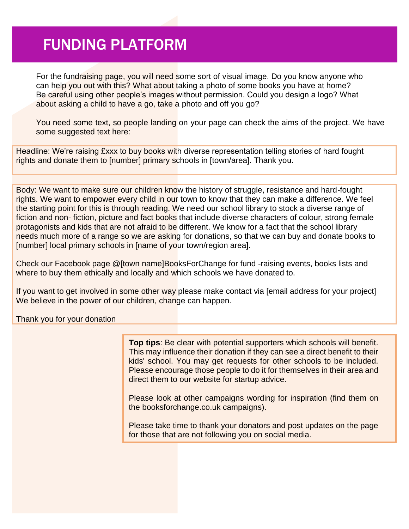### FUNDING PLATFORM

For the fundraising page, you will need some sort of visual image. Do you know anyone who can help you out with this? What about taking a photo of some books you have at home? Be careful using other people's images without permission. Could you design a logo? What about asking a child to have a go, take a photo and off you go?

You need some text, so people landing on your page can check the aims of the project. We have some suggested text here:

Headline: We're raising £xxx to buy books with diverse representation telling stories of hard fought rights and donate them to [number] primary schools in [town/area]. Thank you.

Body: We want to make sure our children know the history of struggle, resistance and hard-fought rights. We want to empower every child in our town to know that they can make a difference. We feel the starting point for this is through reading. We need our school library to stock a diverse range of fiction and non-fiction, picture and fact books that include diverse characters of colour, strong female protagonists and kids that are not afraid to be different. We know for a fact that the school library needs much more of a range so we are asking for donations, so that we can buy and donate books to [number] local primary schools in [name of your town/region area].

Check our Facebook page @[town name]BooksForChange for fund -raising events, books lists and where to buy them ethically and locally and which schools we have donated to.

If you want to get involved in some other way please make contact via [email address for your project] We believe in the power of our children, change can happen.

Thank you for your donation

**Top tips**: Be clear with potential supporters which schools will benefit. This may influence their donation if they can see a direct benefit to their kids' school. You may get requests for other schools to be included. Please encourage those people to do it for themselves in their area and direct them to our website for startup advice.

Please look at other campaigns wording for inspiration (find them on the booksforchange.co.uk campaigns).

Please take time to thank your donators and post updates on the page for those that are not following you on social media.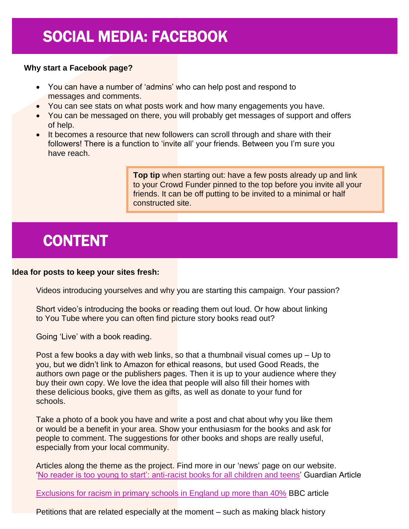# SOCIAL MEDIA: FACEBOOK

#### **Why start a Facebook page?**

- You can have a number of 'admins' who can help post and respond to messages and comments.
- You can see stats on what posts work and how many engagements you have.
- You can be messaged on there, you will probably get messages of support and offers of help.
- It becomes a resource that new followers can scroll through and share with their followers! There is a function to 'invite all' your friends. Between you I'm sure you have reach.

**Top tip** when starting out: have a few posts already up and link to your Crowd Funder pinned to the top before you invite all your friends. It can be off putting to be invited to a minimal or half constructed site.

# CONTENT

#### **Idea for posts to keep your sites fresh:**

Videos introducing yourselves and why you are starting this campaign. Your passion?

Short video's introducing the books or reading them out loud. Or how about linking to You Tube where you can often find picture story books read out?

Going 'Live' with a book reading.

Post a few books a day with web links, so that a thumbnail visual comes up – Up to you, but we didn't link to Amazon for ethical reasons, but used Good Reads, the authors own page or the publishers pages. Then it is up to your audience where they buy their own copy. We love the idea that people will also fill their homes with these delicious books, give them as gifts, as well as donate to your fund for schools.

Take a photo of a book you have and write a post and chat about why you like them or would be a benefit in your area. Show your enthusiasm for the books and ask for people to comment. The suggestions for other books and shops are really useful, especially from your local community.

Articles along the theme as the project. Find more in our 'news' page on our website. ['No reader is too young to start': anti-racist books for all children and teens'](https://www.theguardian.com/books/2020/jun/04/no-reader-is-too-young-to-start-anti-racist-books-for-all-children-and-teens?fbclid=IwAR0vhEHoUiSERrSg6ViEG6VMNTRiJ1OGrlRXM6_dTEM9SS566lpaL-k6rX0) Guardian Article

[Exclusions for racism in primary schools in England up more than 40%](https://www.bbc.co.uk/news/education-50331687?fbclid=IwAR3ymQ3eFGsesNNr6XsLsng0E) BBC article

Petitions that are related especially at the moment – such as making black history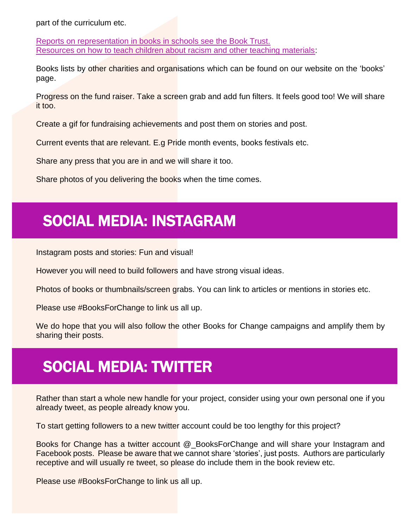part of the curriculum etc.

[Reports on representation in books in schools see the Book Trust.](https://www.booktrust.org.uk/what-we-do/programmes-and-campaigns/booktrustrepresents/representation-of-people-of-colour-among-childrens-book-authors-and-il) [Resources on how to teach children about racism and other teaching materials:](https://www.theredcard.org/resources-and-activities)

Books lists by other charities and organisations which can be found on our website on the 'books' page.

Progress on the fund raiser. Take a screen grab and add fun filters. It feels good too! We will share it too.

Create a gif for fundraising achievements and post them on stories and post.

Current events that are relevant. E.g Pride month events, books festivals etc.

Share any press that you are in and we will share it too.

Share photos of you delivering the books when the time comes.

# SOCIAL MEDIA: INSTAGRAM

Instagram posts and stories: Fun and visual!

However you will need to build followers and have strong visual ideas.

Photos of books or thumbnails/screen grabs. You can link to articles or mentions in stories etc.

Please use #BooksForChange to link us all up.

We do hope that you will also follow the other Books for Change campaigns and amplify them by sharing their posts.

# SOCIAL MEDIA: TWITTER

Rather than start a whole new handle for your project, consider using your own personal one if you already tweet, as people already know you.

To start getting followers to a new twitter account could be too lengthy for this project?

Books for Change has a twitter account @\_BooksForChange and will share your Instagram and Facebook posts. Please be aware that we cannot share 'stories', just posts. Authors are particularly receptive and will usually re tweet, so please do include them in the book review etc.

Please use #BooksForChange to link us all up.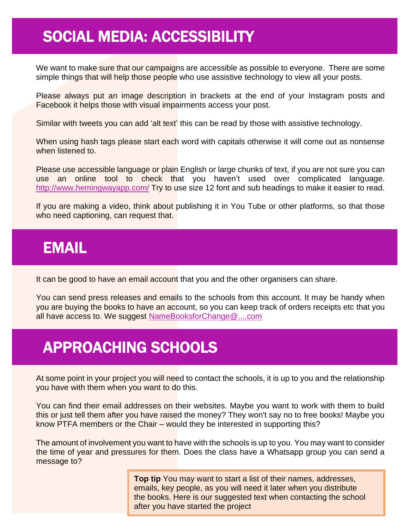### SOCIAL MEDIA: ACCESSIBILITY

We want to make sure that our campaigns are accessible as possible to everyone. There are some simple things that will help those people who use assistive technology to view all your posts.

Please always put an image description in brackets at the end of your Instagram posts and Facebook it helps those with visual impairments access your post.

Similar with tweets you can add 'alt text' this can be read by those with assistive technology.

When using hash tags please start each word with capitals otherwise it will come out as nonsense when listened to.

Please use accessible language or plain English or large chunks of text, if you are not sure you can use an online tool to check that you haven't used over complicated language. <http://www.hemingwayapp.com/> Try to use size 12 font and sub headings to make it easier to read.

If you are making a video, think about publishing it in You Tube or other platforms, so that those who need captioning, can request that.

#### EMAIL

It can be good to have an email account that you and the other organisers can share.

You can send press releases and emails to the schools from this account. It may be handy when you are buying the books to have an account, so you can keep track of orders receipts etc that you all have access to. We suggest [NameBooksforChange@....com](mailto:NameBooksforChange@....com)

# APPROACHING SCHOOLS

At some point in your project you will need to contact the schools, it is up to you and the relationship you have with them when you want to do this.

You can find their email addresses on their websites. Maybe you want to work with them to build this or just tell them after you have raised the money? They won't say no to free books! Maybe you know PTFA members or the Chair – would they be interested in supporting this?

The amount of involvement you want to have with the schools is up to you. You may want to consider the time of year and pressures for them. Does the class have a Whatsapp group you can send a message to?

> **Top tip** You may want to start a list of their names, addresses, emails, key people, as you will need it later when you distribute the books. Here is our suggested text when contacting the school after you have started the project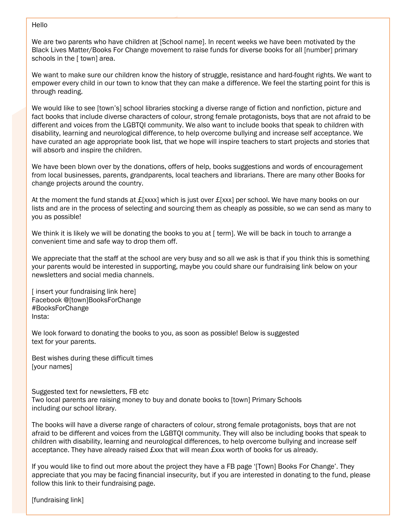#### Hello

We are two parents who have children at [School name]. In recent weeks we have been motivated by the Black Lives Matter/Books For Change movement to raise funds for diverse books for all [number] primary schools in the [ town] area.

We want to make sure our children know the history of struggle, resistance and hard-fought rights. We want to empower every child in our town to know that they can make a difference. We feel the starting point for this is through reading.

We would like to see [town's] school libraries stocking a diverse range of fiction and nonfiction, picture and fact books that include diverse characters of colour, strong female protagonists, boys that are not afraid to be different and voices from the LGBTQI community. We also want to include books that speak to children with disability, learning and neurological difference, to help overcome bullying and increase self acceptance. We have curated an age appropriate book list, that we hope will inspire teachers to start projects and stories that will absorb and inspire the children.

We have been blown over by the donations, offers of help, books suggestions and words of encouragement from local businesses, parents, grandparents, local teachers and librarians. There are many other Books for change projects around the country.

At the moment the fund stands at  $E$ [xxxx] which is just over  $E$ [xxx] per school. We have many books on our lists and are in the process of selecting and sourcing them as cheaply as possible, so we can send as many to you as possible!

We think it is likely we will be donating the books to you at [ term]. We will be back in touch to arrange a convenient time and safe way to drop them off.

We appreciate that the staff at the school are very busy and so all we ask is that if you think this is something your parents would be interested in supporting, maybe you could share our fundraising link below on your newsletters and social media channels.

[insert your fundraising link here] Facebook @[town]BooksForChange #BooksForChange Insta:

We look forward to donating the books to you, as soon as possible! Below is suggested text for your parents.

Best wishes during these difficult times [your names]

Suggested text for newsletters, FB etc Two local parents are raising money to buy and donate books to [town] Primary Schools including our school library.

The books will have a diverse range of characters of colour, strong female protagonists, boys that are not afraid to be different and voices from the LGBTQI community. They will also be including books that speak to children with disability, learning and neurological differences, to help overcome bullying and increase self acceptance. They have already raised £xxx that will mean £xxx worth of books for us already.

If you would like to find out more about the project they have a FB page '[Town] Books For Change'. They appreciate that you may be facing financial insecurity, but if you are interested in donating to the fund, please follow this link to their fundraising page.

[fundraising link]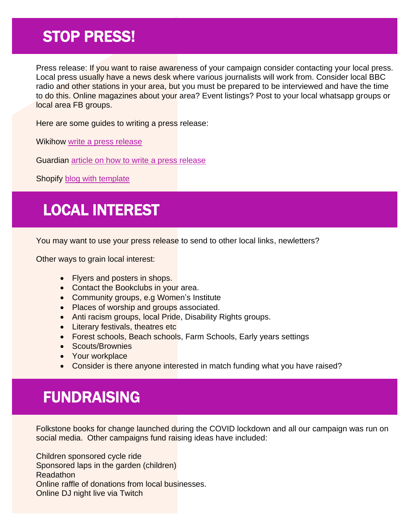### STOP PRESS!

Press release: If you want to raise awareness of your campaign consider contacting your local press. Local press usually have a news desk where various journalists will work from. Consider local BBC radio and other stations in your area, but you must be prepared to be interviewed and have the time to do this. Online magazines about your area? Event listings? Post to your local whatsapp groups or local area FB groups.

Here are some guides to writing a press release:

Wikihow [write a press release](https://www.wikihow.com/Write-a-Press-Release)

Guardian article [on how to write a press release](https://www.theguardian.com/small-business-network/2014/jul/14/how-to-write-press-release) 

Shopify [blog with template](https://www.shopify.co.uk/blog/how-to-write-a-press-release)

# LOCAL INTEREST

You may want to use your press release to send to other local links, newletters?

Other ways to grain local interest:

- Flyers and posters in shops.
- Contact the Bookclubs in your area.
- Community groups, e.g Women's Institute
- Places of worship and groups associated.
- Anti racism groups, local Pride, Disability Rights groups.
- Literary festivals, theatres etc
- Forest schools, Beach schools, Farm Schools, Early years settings
- Scouts/Brownies
- Your workplace
- Consider is there anyone interested in match funding what you have raised?

# FUNDRAISING

Folkstone books for change launched during the COVID lockdown and all our campaign was run on social media. Other campaigns fund raising ideas have included:

Children sponsored cycle ride Sponsored laps in the garden (children) Readathon Online raffle of donations from local businesses. Online DJ night live via Twitch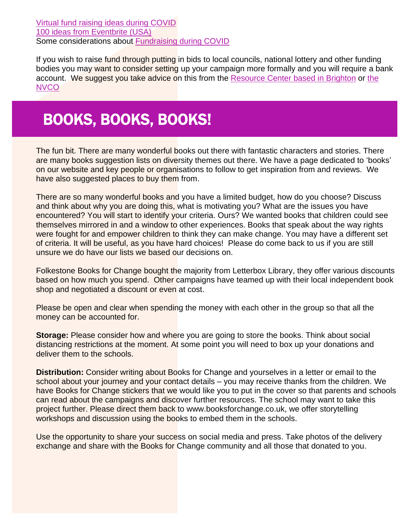[Virtual fund raising ideas during COVID](https://soapboxengage.com/blog/1863-virtual-fundraising-ideas) [100 ideas from Eventbrite \(USA\)](https://www.eventbrite.co.uk/blog/fundraising-ideas-ds00/) Some considerations about [Fundraising during COVID](https://www.fundraisingregulator.org.uk/more-from-us/resources/coronavirus-covid-19-public-fundraising-guidance)

If you wish to raise fund through putting in bids to local councils, national lottery and other funding bodies you may want to consider setting up your campaign more formally and you will require a bank account. We suggest you take advice on this from the Resource Center [based in Brighton](Resource%20Center%20based%20in%20Brighton) or [the](https://www.ncvo.org.uk/about-us/)  [NVCO](https://www.ncvo.org.uk/about-us/)

# BOOKS, BOOKS, BOOKS!

The fun bit. There are many wonderful books out there with fantastic characters and stories. There are many books suggestion lists on diversity themes out there. We have a page dedicated to 'books' on our website and key people or organisations to follow to get inspiration from and reviews. We have also suggested places to buy them from.

There are so many wonderful books and you have a limited budget, how do you choose? Discuss and think about why you are doing this, what is motivating you? What are the issues you have encountered? You will start to identify your criteria. Ours? We wanted books that children could see themselves mirrored in and a window to other experiences. Books that speak about the way rights were fought for and empower children to think they can make change. You may have a different set of criteria. It will be useful, as you have hard choices! Please do come back to us if you are still unsure we do have our lists we based our decisions on.

Folkestone Books for Change bought the majority from Letterbox Library, they offer various discounts based on how much you spend. Other campaigns have teamed up with their local independent book shop and negotiated a discount or even at cost.

Please be open and clear when spending the money with each other in the group so that all the money can be accounted for.

**Storage:** Please consider how and where you are going to store the books. Think about social distancing restrictions at the moment. At some point you will need to box up your donations and deliver them to the schools.

**Distribution:** Consider writing about Books for Change and yourselves in a letter or email to the school about your journey and your contact details – you may receive thanks from the children. We have Books for Change stickers that we would like you to put in the cover so that parents and schools can read about the campaigns and discover further resources. The school may want to take this project further. Please direct them back to www.booksforchange.co.uk, we offer storytelling workshops and discussion using the books to embed them in the schools.

Use the opportunity to share your success on social media and press. Take photos of the delivery exchange and share with the Books for Change community and all those that donated to you.